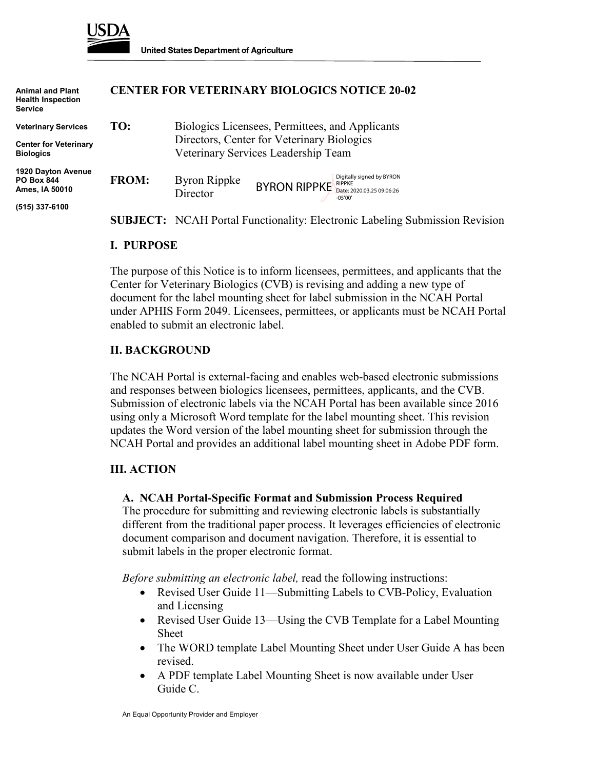

**Animal and Plant Health Inspection**

**Service**

### **CENTER FOR VETERINARY BIOLOGICS NOTICE 20-02**

| <b>Veterinary Services</b><br><b>Center for Veterinary</b><br><b>Biologics</b> | TO:          | Biologics Licensees, Permittees, and Applicants<br>Directors, Center for Veterinary Biologics<br>Veterinary Services Leadership Team |
|--------------------------------------------------------------------------------|--------------|--------------------------------------------------------------------------------------------------------------------------------------|
| 1920 Dayton Avenue<br><b>PO Box 844</b><br>Ames, IA 50010                      | <b>FROM:</b> | Digitally signed by BYRON<br>Byron Rippke<br>$BYRON$ RIPPKE Date: 2020.03.25 09:06:26<br>Director<br>$-05'00'$                       |
| (515) 337-6100                                                                 |              |                                                                                                                                      |
|                                                                                |              | <b>SUBJECT:</b> NCAH Portal Functionality: Electronic Labeling Submission Revision                                                   |

#### **I. PURPOSE**

The purpose of this Notice is to inform licensees, permittees, and applicants that the Center for Veterinary Biologics (CVB) is revising and adding a new type of document for the label mounting sheet for label submission in the NCAH Portal under APHIS Form 2049. Licensees, permittees, or applicants must be NCAH Portal enabled to submit an electronic label.

#### **II. BACKGROUND**

The NCAH Portal is external-facing and enables web-based electronic submissions and responses between biologics licensees, permittees, applicants, and the CVB. Submission of electronic labels via the NCAH Portal has been available since 2016 using only a Microsoft Word template for the label mounting sheet. This revision updates the Word version of the label mounting sheet for submission through the NCAH Portal and provides an additional label mounting sheet in Adobe PDF form.

### **III. ACTION**

#### **A. NCAH Portal-Specific Format and Submission Process Required**

The procedure for submitting and reviewing electronic labels is substantially different from the traditional paper process. It leverages efficiencies of electronic document comparison and document navigation. Therefore, it is essential to submit labels in the proper electronic format.

*Before submitting an electronic label,* read the following instructions:

- Revised User Guide 11—Submitting Labels to CVB-Policy, Evaluation and Licensing
- Revised User Guide 13—Using the CVB Template for a Label Mounting Sheet
- The WORD template Label Mounting Sheet under User Guide A has been revised.
- A PDF template Label Mounting Sheet is now available under User Guide C.